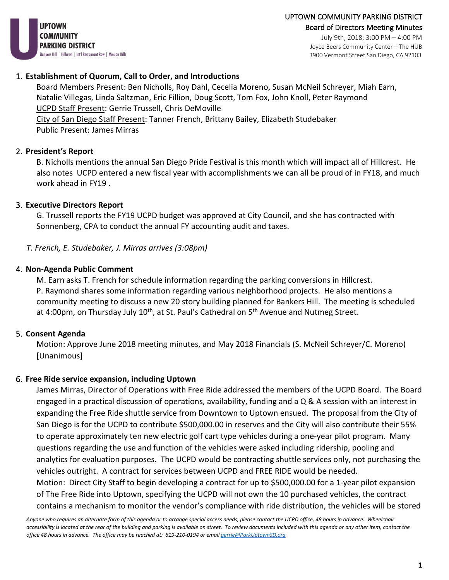**UPTOWN** COMMUNITY **PARKING DISTRICT** Bankers Hill | Hillcrest | Int'l Restaurant Row | Mission Hills

July 9th, 2018; 3:00 PM – 4:00 PM Joyce Beers Community Center – The HUB 3900 Vermont Street San Diego, CA 92103

# 1. **Establishment of Quorum, Call to Order, and Introductions**

Board Members Present: Ben Nicholls, Roy Dahl, Cecelia Moreno, Susan McNeil Schreyer, Miah Earn, Natalie Villegas, Linda Saltzman, Eric Fillion, Doug Scott, Tom Fox, John Knoll, Peter Raymond UCPD Staff Present: Gerrie Trussell, Chris DeMoville City of San Diego Staff Present: Tanner French, Brittany Bailey, Elizabeth Studebaker

Public Present: James Mirras

# 2. **President's Report**

B. Nicholls mentions the annual San Diego Pride Festival is this month which will impact all of Hillcrest. He also notes UCPD entered a new fiscal year with accomplishments we can all be proud of in FY18, and much work ahead in FY19 .

# 3. **Executive Directors Report**

G. Trussell reports the FY19 UCPD budget was approved at City Council, and she has contracted with Sonnenberg, CPA to conduct the annual FY accounting audit and taxes.

*T. French, E. Studebaker, J. Mirras arrives (3:08pm)*

# 4. **Non-Agenda Public Comment**

M. Earn asks T. French for schedule information regarding the parking conversions in Hillcrest. P. Raymond shares some information regarding various neighborhood projects. He also mentions a community meeting to discuss a new 20 story building planned for Bankers Hill. The meeting is scheduled at 4:00pm, on Thursday July 10<sup>th</sup>, at St. Paul's Cathedral on 5<sup>th</sup> Avenue and Nutmeg Street.

# 5. **Consent Agenda**

Motion: Approve June 2018 meeting minutes, and May 2018 Financials (S. McNeil Schreyer/C. Moreno) [Unanimous]

# 6. **Free Ride service expansion, including Uptown**

James Mirras, Director of Operations with Free Ride addressed the members of the UCPD Board. The Board engaged in a practical discussion of operations, availability, funding and a Q & A session with an interest in expanding the Free Ride shuttle service from Downtown to Uptown ensued. The proposal from the City of San Diego is for the UCPD to contribute \$500,000.00 in reserves and the City will also contribute their 55% to operate approximately ten new electric golf cart type vehicles during a one-year pilot program. Many questions regarding the use and function of the vehicles were asked including ridership, pooling and analytics for evaluation purposes. The UCPD would be contracting shuttle services only, not purchasing the vehicles outright. A contract for services between UCPD and FREE RIDE would be needed.

Motion: Direct City Staff to begin developing a contract for up to \$500,000.00 for a 1-year pilot expansion of The Free Ride into Uptown, specifying the UCPD will not own the 10 purchased vehicles, the contract contains a mechanism to monitor the vendor's compliance with ride distribution, the vehicles will be stored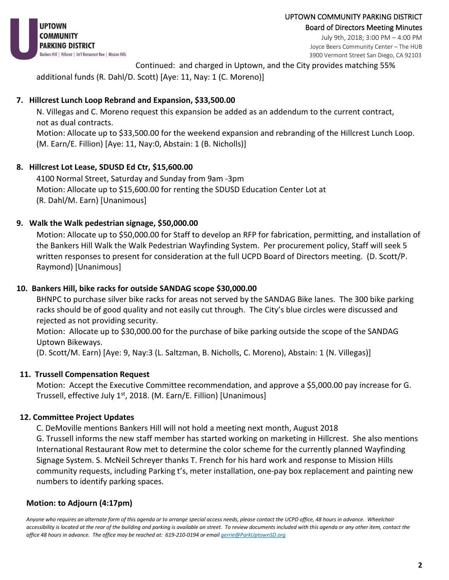July 9th, 2018; 3:00 PM – 4:00 PM Joyce Beers Community Center – The HUB 3900 Vermont Street San Diego, CA 92103

Continued: and charged in Uptown, and the City provides matching 55%

additional funds (R. Dahl/D. Scott) [Aye: 11, Nay: 1 (C. Moreno)]

# **7. Hillcrest Lunch Loop Rebrand and Expansion, \$33,500.00**

N. Villegas and C. Moreno request this expansion be added as an addendum to the current contract, not as dual contracts.

Motion: Allocate up to \$33,500.00 for the weekend expansion and rebranding of the Hillcrest Lunch Loop. (M. Earn/E. Fillion) [Aye: 11, Nay:0, Abstain: 1 (B. Nicholls)]

# **8. Hillcrest Lot Lease, SDUSD Ed Ctr, \$15,600.00**

4100 Normal Street, Saturday and Sunday from 9am -3pm Motion: Allocate up to \$15,600.00 for renting the SDUSD Education Center Lot at (R. Dahl/M. Earn) [Unanimous]

# **9. Walk the Walk pedestrian signage, \$50,000.00**

Motion: Allocate up to \$50,000.00 for Staff to develop an RFP for fabrication, permitting, and installation of the Bankers Hill Walk the Walk Pedestrian Wayfinding System. Per procurement policy, Staff will seek 5 written responses to present for consideration at the full UCPD Board of Directors meeting. (D. Scott/P. Raymond) [Unanimous]

# **10. Bankers Hill, bike racks for outside SANDAG scope \$30,000.00**

BHNPC to purchase silver bike racks for areas not served by the SANDAG Bike lanes. The 300 bike parking racks should be of good quality and not easily cut through. The City's blue circles were discussed and rejected as not providing security.

Motion: Allocate up to \$30,000.00 for the purchase of bike parking outside the scope of the SANDAG Uptown Bikeways.

(D. Scott/M. Earn) [Aye: 9, Nay:3 (L. Saltzman, B. Nicholls, C. Moreno), Abstain: 1 (N. Villegas)]

# **11. Trussell Compensation Request**

Motion: Accept the Executive Committee recommendation, and approve a \$5,000.00 pay increase for G. Trussell, effective July  $1<sup>st</sup>$ , 2018. (M. Earn/E. Fillion) [Unanimous]

# **12. Committee Project Updates**

C. DeMoville mentions Bankers Hill will not hold a meeting next month, August 2018

G. Trussell informs the new staff member has started working on marketing in Hillcrest. She also mentions International Restaurant Row met to determine the color scheme for the currently planned Wayfinding Signage System. S. McNeil Schreyer thanks T. French for his hard work and response to Mission Hills community requests, including Parking t's, meter installation, one-pay box replacement and painting new numbers to identify parking spaces.

# **Motion: to Adjourn (4:17pm)**

*Anyone who requires an alternate form of this agenda or to arrange special access needs, please contact the UCPD office, 48 hours in advance. Wheelchair accessibility is located at the rear of the building and parking is available on street. To review documents included with this agenda or any other item, contact the office 48 hours in advance. The office may be reached at: 619-210-0194 or emai[l gerrie@ParkUptownSD.org](mailto:gerrie@ParkUptownSD.org)*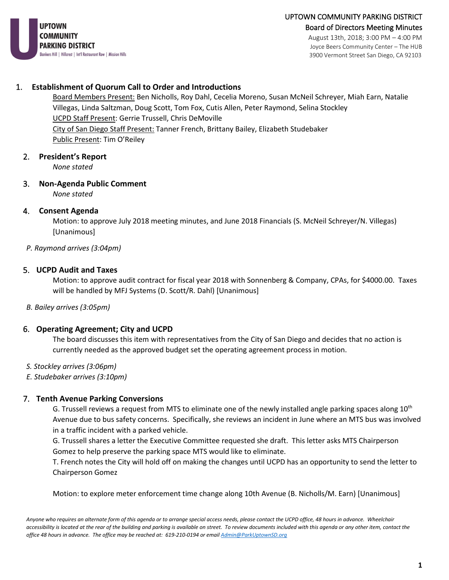

Joyce Beers Community Center – The HUB 3900 Vermont Street San Diego, CA 92103

#### 1. **Establishment of Quorum Call to Order and Introductions**

Board Members Present: Ben Nicholls, Roy Dahl, Cecelia Moreno, Susan McNeil Schreyer, Miah Earn, Natalie Villegas, Linda Saltzman, Doug Scott, Tom Fox, Cutis Allen, Peter Raymond, Selina Stockley UCPD Staff Present: Gerrie Trussell, Chris DeMoville City of San Diego Staff Present: Tanner French, Brittany Bailey, Elizabeth Studebaker Public Present: Tim O'Reiley

#### 2. **President's Report**

*None stated* 

#### 3. **Non-Agenda Public Comment**  *None stated*

4. **Consent Agenda** 

Motion: to approve July 2018 meeting minutes, and June 2018 Financials (S. McNeil Schreyer/N. Villegas) [Unanimous]

#### *P. Raymond arrives (3:04pm)*

#### 5. **UCPD Audit and Taxes**

Motion: to approve audit contract for fiscal year 2018 with Sonnenberg & Company, CPAs, for \$4000.00. Taxes will be handled by MFJ Systems (D. Scott/R. Dahl) [Unanimous]

*B. Bailey arrives (3:05pm)*

#### 6. **Operating Agreement; City and UCPD**

The board discusses this item with representatives from the City of San Diego and decides that no action is currently needed as the approved budget set the operating agreement process in motion.

- *S. Stockley arrives (3:06pm)*
- *E. Studebaker arrives (3:10pm)*

#### 7. **Tenth Avenue Parking Conversions**

G. Trussell reviews a request from MTS to eliminate one of the newly installed angle parking spaces along  $10<sup>th</sup>$ Avenue due to bus safety concerns. Specifically, she reviews an incident in June where an MTS bus was involved in a traffic incident with a parked vehicle.

G. Trussell shares a letter the Executive Committee requested she draft. This letter asks MTS Chairperson Gomez to help preserve the parking space MTS would like to eliminate.

T. French notes the City will hold off on making the changes until UCPD has an opportunity to send the letter to Chairperson Gomez

Motion: to explore meter enforcement time change along 10th Avenue (B. Nicholls/M. Earn) [Unanimous]

*Anyone who requires an alternate form of this agenda or to arrange special access needs, please contact the UCPD office, 48 hours in advance. Wheelchair accessibility is located at the rear of the building and parking is available on street. To review documents included with this agenda or any other item, contact the office 48 hours in advance. The office may be reached at: 619-210-0194 or emai[l Admin@ParkUptownSD.org](mailto:Admin@ParkUptownSD.org)*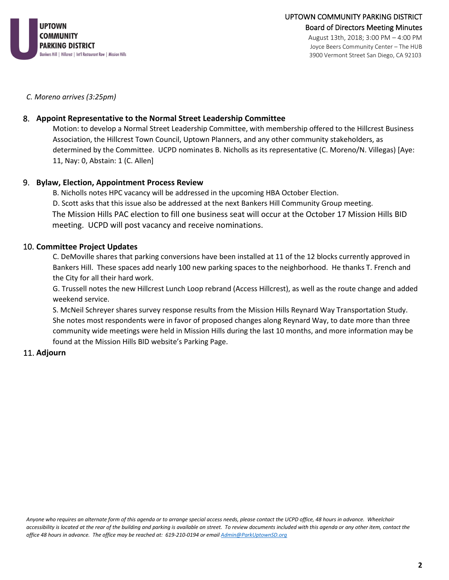

Joyce Beers Community Center – The HUB 3900 Vermont Street San Diego, CA 92103

*C. Moreno arrives (3:25pm)*

#### 8. **Appoint Representative to the Normal Street Leadership Committee**

Motion: to develop a Normal Street Leadership Committee, with membership offered to the Hillcrest Business Association, the Hillcrest Town Council, Uptown Planners, and any other community stakeholders, as determined by the Committee. UCPD nominates B. Nicholls as its representative (C. Moreno/N. Villegas) [Aye: 11, Nay: 0, Abstain: 1 (C. Allen]

#### 9. **Bylaw, Election, Appointment Process Review**

B. Nicholls notes HPC vacancy will be addressed in the upcoming HBA October Election. D. Scott asks that this issue also be addressed at the next Bankers Hill Community Group meeting. The Mission Hills PAC election to fill one business seat will occur at the October 17 Mission Hills BID meeting. UCPD will post vacancy and receive nominations.

#### 10. **Committee Project Updates**

C. DeMoville shares that parking conversions have been installed at 11 of the 12 blocks currently approved in Bankers Hill. These spaces add nearly 100 new parking spaces to the neighborhood. He thanks T. French and the City for all their hard work.

G. Trussell notes the new Hillcrest Lunch Loop rebrand (Access Hillcrest), as well as the route change and added weekend service.

S. McNeil Schreyer shares survey response results from the Mission Hills Reynard Way Transportation Study. She notes most respondents were in favor of proposed changes along Reynard Way, to date more than three community wide meetings were held in Mission Hills during the last 10 months, and more information may be found at the Mission Hills BID website's Parking Page.

#### 11. **Adjourn**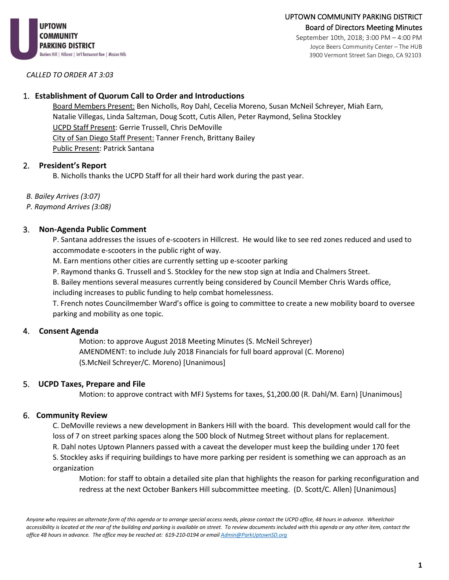

September 10th, 2018; 3:00 PM – 4:00 PM Joyce Beers Community Center – The HUB 3900 Vermont Street San Diego, CA 92103

*CALLED TO ORDER AT 3:03*

#### 1. **Establishment of Quorum Call to Order and Introductions**

Board Members Present: Ben Nicholls, Roy Dahl, Cecelia Moreno, Susan McNeil Schreyer, Miah Earn, Natalie Villegas, Linda Saltzman, Doug Scott, Cutis Allen, Peter Raymond, Selina Stockley UCPD Staff Present: Gerrie Trussell, Chris DeMoville City of San Diego Staff Present: Tanner French, Brittany Bailey Public Present: Patrick Santana

### 2. **President's Report**

B. Nicholls thanks the UCPD Staff for all their hard work during the past year.

*B. Bailey Arrives (3:07)*

*P. Raymond Arrives (3:08)*

#### 3. **Non-Agenda Public Comment**

P. Santana addresses the issues of e-scooters in Hillcrest. He would like to see red zones reduced and used to accommodate e-scooters in the public right of way.

M. Earn mentions other cities are currently setting up e-scooter parking

P. Raymond thanks G. Trussell and S. Stockley for the new stop sign at India and Chalmers Street.

B. Bailey mentions several measures currently being considered by Council Member Chris Wards office,

including increases to public funding to help combat homelessness.

T. French notes Councilmember Ward's office is going to committee to create a new mobility board to oversee parking and mobility as one topic.

# 4. **Consent Agenda**

Motion: to approve August 2018 Meeting Minutes (S. McNeil Schreyer) AMENDMENT: to include July 2018 Financials for full board approval (C. Moreno) (S.McNeil Schreyer/C. Moreno) [Unanimous]

# 5. **UCPD Taxes, Prepare and File**

Motion: to approve contract with MFJ Systems for taxes, \$1,200.00 (R. Dahl/M. Earn) [Unanimous]

#### 6. **Community Review**

C. DeMoville reviews a new development in Bankers Hill with the board. This development would call for the loss of 7 on street parking spaces along the 500 block of Nutmeg Street without plans for replacement.

R. Dahl notes Uptown Planners passed with a caveat the developer must keep the building under 170 feet

S. Stockley asks if requiring buildings to have more parking per resident is something we can approach as an organization

Motion: for staff to obtain a detailed site plan that highlights the reason for parking reconfiguration and redress at the next October Bankers Hill subcommittee meeting. (D. Scott/C. Allen) [Unanimous]

*Anyone who requires an alternate form of this agenda or to arrange special access needs, please contact the UCPD office, 48 hours in advance. Wheelchair accessibility is located at the rear of the building and parking is available on street. To review documents included with this agenda or any other item, contact the office 48 hours in advance. The office may be reached at: 619-210-0194 or emai[l Admin@ParkUptownSD.org](mailto:Admin@ParkUptownSD.org)*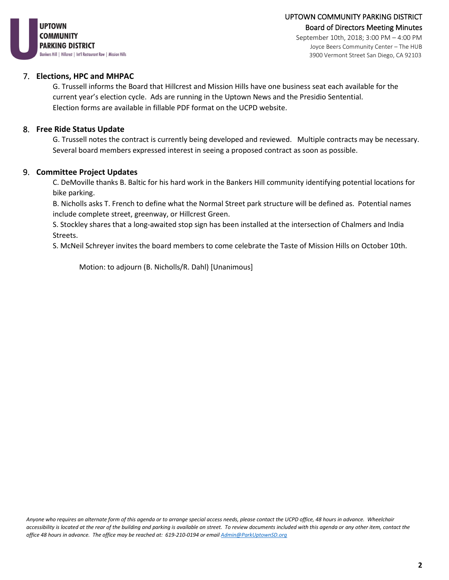

September 10th, 2018; 3:00 PM – 4:00 PM Joyce Beers Community Center – The HUB 3900 Vermont Street San Diego, CA 92103

#### 7. **Elections, HPC and MHPAC**

G. Trussell informs the Board that Hillcrest and Mission Hills have one business seat each available for the current year's election cycle. Ads are running in the Uptown News and the Presidio Sentential. Election forms are available in fillable PDF format on the UCPD website.

#### 8. **Free Ride Status Update**

G. Trussell notes the contract is currently being developed and reviewed. Multiple contracts may be necessary. Several board members expressed interest in seeing a proposed contract as soon as possible.

#### 9. **Committee Project Updates**

C. DeMoville thanks B. Baltic for his hard work in the Bankers Hill community identifying potential locations for bike parking.

B. Nicholls asks T. French to define what the Normal Street park structure will be defined as. Potential names include complete street, greenway, or Hillcrest Green.

S. Stockley shares that a long-awaited stop sign has been installed at the intersection of Chalmers and India Streets.

S. McNeil Schreyer invites the board members to come celebrate the Taste of Mission Hills on October 10th.

Motion: to adjourn (B. Nicholls/R. Dahl) [Unanimous]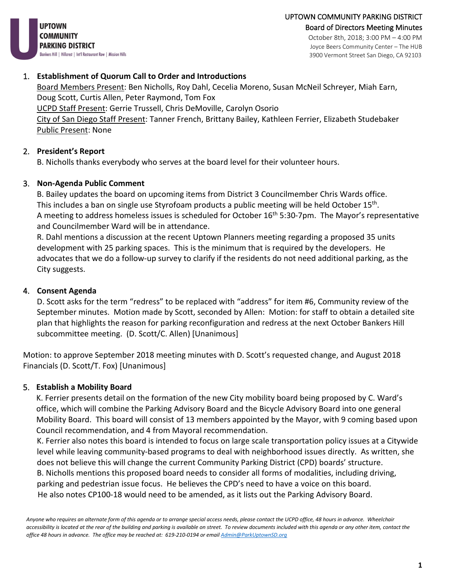3900 Vermont Street San Diego, CA 92103



### 1. **Establishment of Quorum Call to Order and Introductions**

Board Members Present: Ben Nicholls, Roy Dahl, Cecelia Moreno, Susan McNeil Schreyer, Miah Earn, Doug Scott, Curtis Allen, Peter Raymond, Tom Fox UCPD Staff Present: Gerrie Trussell, Chris DeMoville, Carolyn Osorio City of San Diego Staff Present: Tanner French, Brittany Bailey, Kathleen Ferrier, Elizabeth Studebaker Public Present: None

# 2. **President's Report**

B. Nicholls thanks everybody who serves at the board level for their volunteer hours.

### 3. **Non-Agenda Public Comment**

B. Bailey updates the board on upcoming items from District 3 Councilmember Chris Wards office. This includes a ban on single use Styrofoam products a public meeting will be held October 15<sup>th</sup>. A meeting to address homeless issues is scheduled for October  $16<sup>th</sup> 5:30-7$ pm. The Mayor's representative and Councilmember Ward will be in attendance.

R. Dahl mentions a discussion at the recent Uptown Planners meeting regarding a proposed 35 units development with 25 parking spaces. This is the minimum that is required by the developers. He advocates that we do a follow-up survey to clarify if the residents do not need additional parking, as the City suggests.

#### 4. **Consent Agenda**

D. Scott asks for the term "redress" to be replaced with "address" for item #6, Community review of the September minutes. Motion made by Scott, seconded by Allen: Motion: for staff to obtain a detailed site plan that highlights the reason for parking reconfiguration and redress at the next October Bankers Hill subcommittee meeting. (D. Scott/C. Allen) [Unanimous]

Motion: to approve September 2018 meeting minutes with D. Scott's requested change, and August 2018 Financials (D. Scott/T. Fox) [Unanimous]

#### 5. **Establish a Mobility Board**

K. Ferrier presents detail on the formation of the new City mobility board being proposed by C. Ward's office, which will combine the Parking Advisory Board and the Bicycle Advisory Board into one general Mobility Board. This board will consist of 13 members appointed by the Mayor, with 9 coming based upon Council recommendation, and 4 from Mayoral recommendation.

K. Ferrier also notes this board is intended to focus on large scale transportation policy issues at a Citywide level while leaving community-based programs to deal with neighborhood issues directly. As written, she does not believe this will change the current Community Parking District (CPD) boards' structure.

B. Nicholls mentions this proposed board needs to consider all forms of modalities, including driving, parking and pedestrian issue focus. He believes the CPD's need to have a voice on this board. He also notes CP100-18 would need to be amended, as it lists out the Parking Advisory Board.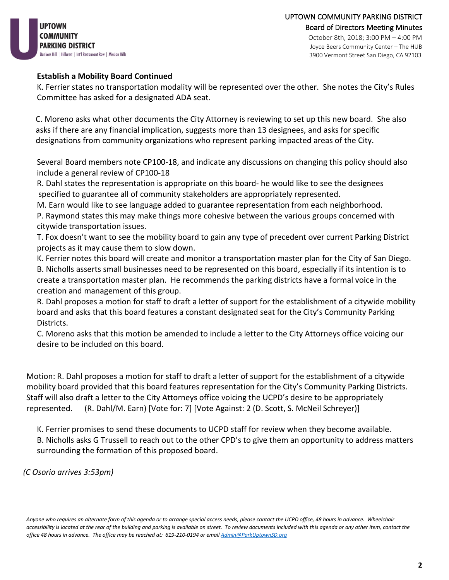**IPTOWN** COMMUNITY **PARKING DISTRICT** Bankers Hill | Hillcrest | Int'l Restaurant Row | Mission Hills

#### **Establish a Mobility Board Continued**

K. Ferrier states no transportation modality will be represented over the other. She notes the City's Rules Committee has asked for a designated ADA seat.

 C. Moreno asks what other documents the City Attorney is reviewing to set up this new board. She also asks if there are any financial implication, suggests more than 13 designees, and asks for specific designations from community organizations who represent parking impacted areas of the City.

Several Board members note CP100-18, and indicate any discussions on changing this policy should also include a general review of CP100-18

R. Dahl states the representation is appropriate on this board- he would like to see the designees specified to guarantee all of community stakeholders are appropriately represented.

M. Earn would like to see language added to guarantee representation from each neighborhood.

P. Raymond states this may make things more cohesive between the various groups concerned with citywide transportation issues.

T. Fox doesn't want to see the mobility board to gain any type of precedent over current Parking District projects as it may cause them to slow down.

K. Ferrier notes this board will create and monitor a transportation master plan for the City of San Diego.

B. Nicholls asserts small businesses need to be represented on this board, especially if its intention is to create a transportation master plan. He recommends the parking districts have a formal voice in the creation and management of this group.

R. Dahl proposes a motion for staff to draft a letter of support for the establishment of a citywide mobility board and asks that this board features a constant designated seat for the City's Community Parking Districts.

C. Moreno asks that this motion be amended to include a letter to the City Attorneys office voicing our desire to be included on this board.

Motion: R. Dahl proposes a motion for staff to draft a letter of support for the establishment of a citywide mobility board provided that this board features representation for the City's Community Parking Districts. Staff will also draft a letter to the City Attorneys office voicing the UCPD's desire to be appropriately represented. (R. Dahl/M. Earn) [Vote for: 7] [Vote Against: 2 (D. Scott, S. McNeil Schreyer)]

K. Ferrier promises to send these documents to UCPD staff for review when they become available. B. Nicholls asks G Trussell to reach out to the other CPD's to give them an opportunity to address matters surrounding the formation of this proposed board.

*(C Osorio arrives 3:53pm)*

*Anyone who requires an alternate form of this agenda or to arrange special access needs, please contact the UCPD office, 48 hours in advance. Wheelchair accessibility is located at the rear of the building and parking is available on street. To review documents included with this agenda or any other item, contact the office 48 hours in advance. The office may be reached at: 619-210-0194 or emai[l Admin@ParkUptownSD.org](mailto:Admin@ParkUptownSD.org)*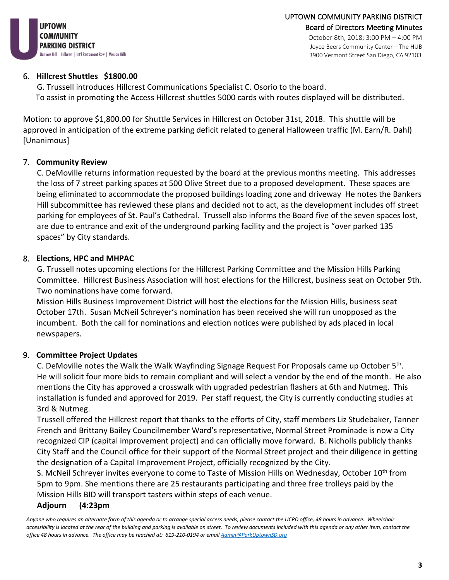

### 6. **Hillcrest Shuttles \$1800.00**

G. Trussell introduces Hillcrest Communications Specialist C. Osorio to the board. To assist in promoting the Access Hillcrest shuttles 5000 cards with routes displayed will be distributed.

Motion: to approve \$1,800.00 for Shuttle Services in Hillcrest on October 31st, 2018. This shuttle will be approved in anticipation of the extreme parking deficit related to general Halloween traffic (M. Earn/R. Dahl) [Unanimous]

# 7. **Community Review**

C. DeMoville returns information requested by the board at the previous months meeting. This addresses the loss of 7 street parking spaces at 500 Olive Street due to a proposed development. These spaces are being eliminated to accommodate the proposed buildings loading zone and driveway He notes the Bankers Hill subcommittee has reviewed these plans and decided not to act, as the development includes off street parking for employees of St. Paul's Cathedral. Trussell also informs the Board five of the seven spaces lost, are due to entrance and exit of the underground parking facility and the project is "over parked 135 spaces" by City standards.

# 8. **Elections, HPC and MHPAC**

G. Trussell notes upcoming elections for the Hillcrest Parking Committee and the Mission Hills Parking Committee. Hillcrest Business Association will host elections for the Hillcrest, business seat on October 9th. Two nominations have come forward.

Mission Hills Business Improvement District will host the elections for the Mission Hills, business seat October 17th. Susan McNeil Schreyer's nomination has been received she will run unopposed as the incumbent. Both the call for nominations and election notices were published by ads placed in local newspapers.

# 9. **Committee Project Updates**

C. DeMoville notes the Walk the Walk Wayfinding Signage Request For Proposals came up October 5th. He will solicit four more bids to remain compliant and will select a vendor by the end of the month. He also mentions the City has approved a crosswalk with upgraded pedestrian flashers at 6th and Nutmeg. This installation is funded and approved for 2019. Per staff request, the City is currently conducting studies at 3rd & Nutmeg.

Trussell offered the Hillcrest report that thanks to the efforts of City, staff members Liz Studebaker, Tanner French and Brittany Bailey Councilmember Ward's representative, Normal Street Prominade is now a City recognized CIP (capital improvement project) and can officially move forward. B. Nicholls publicly thanks City Staff and the Council office for their support of the Normal Street project and their diligence in getting the designation of a Capital Improvement Project, officially recognized by the City.

S. McNeil Schreyer invites everyone to come to Taste of Mission Hills on Wednesday, October 10<sup>th</sup> from 5pm to 9pm. She mentions there are 25 restaurants participating and three free trolleys paid by the Mission Hills BID will transport tasters within steps of each venue.

# **Adjourn (4:23pm**

*Anyone who requires an alternate form of this agenda or to arrange special access needs, please contact the UCPD office, 48 hours in advance. Wheelchair accessibility is located at the rear of the building and parking is available on street. To review documents included with this agenda or any other item, contact the office 48 hours in advance. The office may be reached at: 619-210-0194 or emai[l Admin@ParkUptownSD.org](mailto:Admin@ParkUptownSD.org)*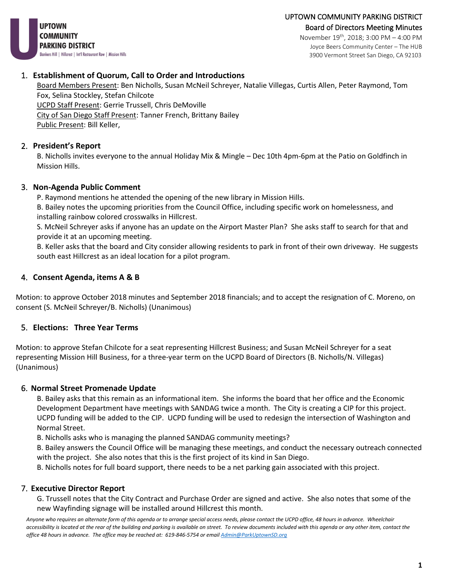**UPTOWN COMMUNITY PARKING DISTRICT** Bankers Hill | Hillcrest | Int'l Restaurant Row | Mission Hills

November 19th, 2018; 3:00 PM – 4:00 PM Joyce Beers Community Center – The HUB 3900 Vermont Street San Diego, CA 92103

### 1. **Establishment of Quorum, Call to Order and Introductions**

Board Members Present: Ben Nicholls, Susan McNeil Schreyer, Natalie Villegas, Curtis Allen, Peter Raymond, Tom Fox, Selina Stockley, Stefan Chilcote UCPD Staff Present: Gerrie Trussell, Chris DeMoville City of San Diego Staff Present: Tanner French, Brittany Bailey Public Present: Bill Keller,

# 2. **President's Report**

B. Nicholls invites everyone to the annual Holiday Mix & Mingle – Dec 10th 4pm-6pm at the Patio on Goldfinch in Mission Hills.

# 3. **Non-Agenda Public Comment**

P. Raymond mentions he attended the opening of the new library in Mission Hills.

B. Bailey notes the upcoming priorities from the Council Office, including specific work on homelessness, and installing rainbow colored crosswalks in Hillcrest.

S. McNeil Schreyer asks if anyone has an update on the Airport Master Plan? She asks staff to search for that and provide it at an upcoming meeting.

B. Keller asks that the board and City consider allowing residents to park in front of their own driveway. He suggests south east Hillcrest as an ideal location for a pilot program.

# 4. **Consent Agenda, items A & B**

Motion: to approve October 2018 minutes and September 2018 financials; and to accept the resignation of C. Moreno, on consent (S. McNeil Schreyer/B. Nicholls) (Unanimous)

# 5. **Elections: Three Year Terms**

Motion: to approve Stefan Chilcote for a seat representing Hillcrest Business; and Susan McNeil Schreyer for a seat representing Mission Hill Business, for a three-year term on the UCPD Board of Directors (B. Nicholls/N. Villegas) (Unanimous)

# 6. **Normal Street Promenade Update**

B. Bailey asks that this remain as an informational item. She informs the board that her office and the Economic Development Department have meetings with SANDAG twice a month. The City is creating a CIP for this project. UCPD funding will be added to the CIP. UCPD funding will be used to redesign the intersection of Washington and Normal Street.

B. Nicholls asks who is managing the planned SANDAG community meetings?

B. Bailey answers the Council Office will be managing these meetings, and conduct the necessary outreach connected with the project. She also notes that this is the first project of its kind in San Diego.

B. Nicholls notes for full board support, there needs to be a net parking gain associated with this project.

# 7. **Executive Director Report**

G. Trussell notes that the City Contract and Purchase Order are signed and active. She also notes that some of the new Wayfinding signage will be installed around Hillcrest this month.

*Anyone who requires an alternate form of this agenda or to arrange special access needs, please contact the UCPD office, 48 hours in advance. Wheelchair accessibility is located at the rear of the building and parking is available on street. To review documents included with this agenda or any other item, contact the office 48 hours in advance. The office may be reached at: 619-846-5754 or emai[l Admin@ParkUptownSD.org](mailto:Admin@ParkUptownSD.org)*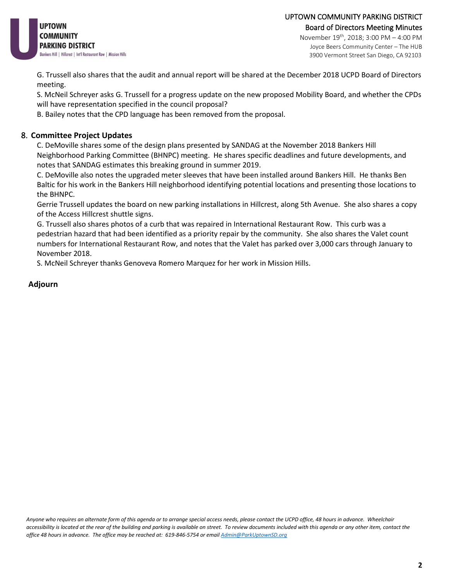

#### UPTOWN COMMUNITY PARKING DISTRICT Board of Directors Meeting Minutes November 19th, 2018; 3:00 PM – 4:00 PM

Joyce Beers Community Center – The HUB 3900 Vermont Street San Diego, CA 92103

G. Trussell also shares that the audit and annual report will be shared at the December 2018 UCPD Board of Directors meeting.

S. McNeil Schreyer asks G. Trussell for a progress update on the new proposed Mobility Board, and whether the CPDs will have representation specified in the council proposal?

B. Bailey notes that the CPD language has been removed from the proposal.

#### 8. **Committee Project Updates**

C. DeMoville shares some of the design plans presented by SANDAG at the November 2018 Bankers Hill Neighborhood Parking Committee (BHNPC) meeting. He shares specific deadlines and future developments, and notes that SANDAG estimates this breaking ground in summer 2019.

C. DeMoville also notes the upgraded meter sleeves that have been installed around Bankers Hill. He thanks Ben Baltic for his work in the Bankers Hill neighborhood identifying potential locations and presenting those locations to the BHNPC.

Gerrie Trussell updates the board on new parking installations in Hillcrest, along 5th Avenue. She also shares a copy of the Access Hillcrest shuttle signs.

G. Trussell also shares photos of a curb that was repaired in International Restaurant Row. This curb was a pedestrian hazard that had been identified as a priority repair by the community. She also shares the Valet count numbers for International Restaurant Row, and notes that the Valet has parked over 3,000 cars through January to November 2018.

S. McNeil Schreyer thanks Genoveva Romero Marquez for her work in Mission Hills.

### **Adjourn**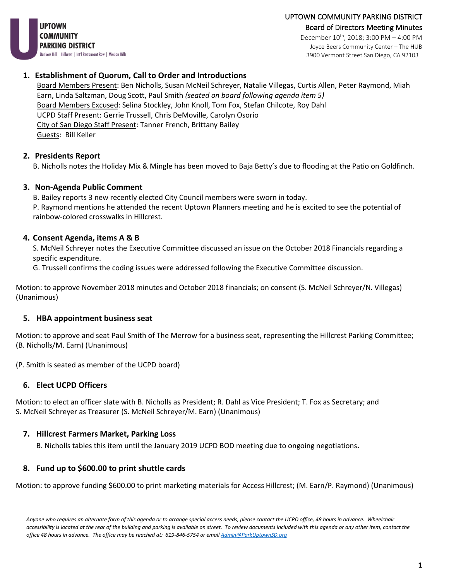UPTOWN COMMUNITY PARKING DISTRICT Board of Directors Meeting Minutes

**UPTOWN COMMUNITY PARKING DISTRICT** Bankers Hill | Hillcrest | Int'l Restaurant Row | Mission Hills

December 10<sup>th</sup>, 2018; 3:00 PM - 4:00 PM Joyce Beers Community Center – The HUB 3900 Vermont Street San Diego, CA 92103

### **1. Establishment of Quorum, Call to Order and Introductions**

Board Members Present: Ben Nicholls, Susan McNeil Schreyer, Natalie Villegas, Curtis Allen, Peter Raymond, Miah Earn, Linda Saltzman, Doug Scott, Paul Smith *(seated on board following agenda item 5)* Board Members Excused: Selina Stockley, John Knoll, Tom Fox, Stefan Chilcote, Roy Dahl UCPD Staff Present: Gerrie Trussell, Chris DeMoville, Carolyn Osorio City of San Diego Staff Present: Tanner French, Brittany Bailey Guests: Bill Keller

# **2. Presidents Report**

B. Nicholls notes the Holiday Mix & Mingle has been moved to Baja Betty's due to flooding at the Patio on Goldfinch.

# **3. Non-Agenda Public Comment**

B. Bailey reports 3 new recently elected City Council members were sworn in today.

P. Raymond mentions he attended the recent Uptown Planners meeting and he is excited to see the potential of rainbow-colored crosswalks in Hillcrest.

# **4. Consent Agenda, items A & B**

S. McNeil Schreyer notes the Executive Committee discussed an issue on the October 2018 Financials regarding a specific expenditure.

G. Trussell confirms the coding issues were addressed following the Executive Committee discussion.

Motion: to approve November 2018 minutes and October 2018 financials; on consent (S. McNeil Schreyer/N. Villegas) (Unanimous)

# **5. HBA appointment business seat**

Motion: to approve and seat Paul Smith of The Merrow for a business seat, representing the Hillcrest Parking Committee; (B. Nicholls/M. Earn) (Unanimous)

(P. Smith is seated as member of the UCPD board)

# **6. Elect UCPD Officers**

Motion: to elect an officer slate with B. Nicholls as President; R. Dahl as Vice President; T. Fox as Secretary; and S. McNeil Schreyer as Treasurer (S. McNeil Schreyer/M. Earn) (Unanimous)

# **7. Hillcrest Farmers Market, Parking Loss**

B. Nicholls tables this item until the January 2019 UCPD BOD meeting due to ongoing negotiations**.** 

# **8. Fund up to \$600.00 to print shuttle cards**

Motion: to approve funding \$600.00 to print marketing materials for Access Hillcrest; (M. Earn/P. Raymond) (Unanimous)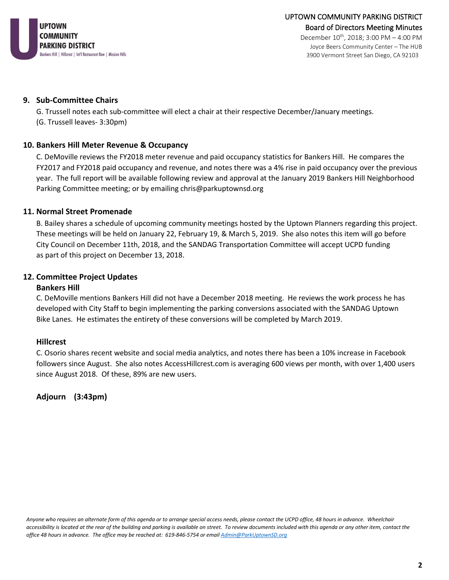

3900 Vermont Street San Diego, CA 92103

**9. Sub-Committee Chairs**

G. Trussell notes each sub-committee will elect a chair at their respective December/January meetings. (G. Trussell leaves- 3:30pm)

### **10. Bankers Hill Meter Revenue & Occupancy**

C. DeMoville reviews the FY2018 meter revenue and paid occupancy statistics for Bankers Hill. He compares the FY2017 and FY2018 paid occupancy and revenue, and notes there was a 4% rise in paid occupancy over the previous year. The full report will be available following review and approval at the January 2019 Bankers Hill Neighborhood Parking Committee meeting; or by emailing chris@parkuptownsd.org

### **11. Normal Street Promenade**

B. Bailey shares a schedule of upcoming community meetings hosted by the Uptown Planners regarding this project. These meetings will be held on January 22, February 19, & March 5, 2019. She also notes this item will go before City Council on December 11th, 2018, and the SANDAG Transportation Committee will accept UCPD funding as part of this project on December 13, 2018.

### **12. Committee Project Updates**

#### **Bankers Hill**

C. DeMoville mentions Bankers Hill did not have a December 2018 meeting. He reviews the work process he has developed with City Staff to begin implementing the parking conversions associated with the SANDAG Uptown Bike Lanes. He estimates the entirety of these conversions will be completed by March 2019.

#### **Hillcrest**

C. Osorio shares recent website and social media analytics, and notes there has been a 10% increase in Facebook followers since August. She also notes AccessHillcrest.com is averaging 600 views per month, with over 1,400 users since August 2018. Of these, 89% are new users.

**Adjourn (3:43pm)**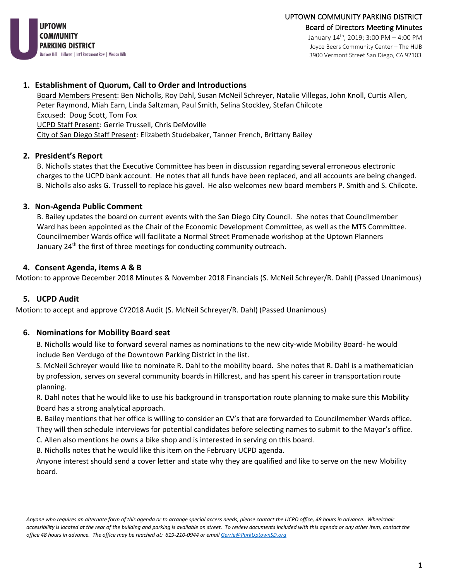

January 14th, 2019; 3:00 PM – 4:00 PM Joyce Beers Community Center – The HUB 3900 Vermont Street San Diego, CA 92103

#### **1. Establishment of Quorum, Call to Order and Introductions**

Board Members Present: Ben Nicholls, Roy Dahl, Susan McNeil Schreyer, Natalie Villegas, John Knoll, Curtis Allen, Peter Raymond, Miah Earn, Linda Saltzman, Paul Smith, Selina Stockley, Stefan Chilcote Excused: Doug Scott, Tom Fox UCPD Staff Present: Gerrie Trussell, Chris DeMoville City of San Diego Staff Present: Elizabeth Studebaker, Tanner French, Brittany Bailey

#### **2. President's Report**

B. Nicholls states that the Executive Committee has been in discussion regarding several erroneous electronic charges to the UCPD bank account. He notes that all funds have been replaced, and all accounts are being changed. B. Nicholls also asks G. Trussell to replace his gavel. He also welcomes new board members P. Smith and S. Chilcote.

#### **3. Non-Agenda Public Comment**

B. Bailey updates the board on current events with the San Diego City Council. She notes that Councilmember Ward has been appointed as the Chair of the Economic Development Committee, as well as the MTS Committee. Councilmember Wards office will facilitate a Normal Street Promenade workshop at the Uptown Planners January 24<sup>th</sup> the first of three meetings for conducting community outreach.

#### **4. Consent Agenda, items A & B**

Motion: to approve December 2018 Minutes & November 2018 Financials (S. McNeil Schreyer/R. Dahl) (Passed Unanimous)

#### **5. UCPD Audit**

Motion: to accept and approve CY2018 Audit (S. McNeil Schreyer/R. Dahl) (Passed Unanimous)

#### **6. Nominations for Mobility Board seat**

B. Nicholls would like to forward several names as nominations to the new city-wide Mobility Board- he would include Ben Verdugo of the Downtown Parking District in the list.

S. McNeil Schreyer would like to nominate R. Dahl to the mobility board. She notes that R. Dahl is a mathematician by profession, serves on several community boards in Hillcrest, and has spent his career in transportation route planning.

R. Dahl notes that he would like to use his background in transportation route planning to make sure this Mobility Board has a strong analytical approach.

B. Bailey mentions that her office is willing to consider an CV's that are forwarded to Councilmember Wards office. They will then schedule interviews for potential candidates before selecting names to submit to the Mayor's office.

C. Allen also mentions he owns a bike shop and is interested in serving on this board.

B. Nicholls notes that he would like this item on the February UCPD agenda.

Anyone interest should send a cover letter and state why they are qualified and like to serve on the new Mobility board.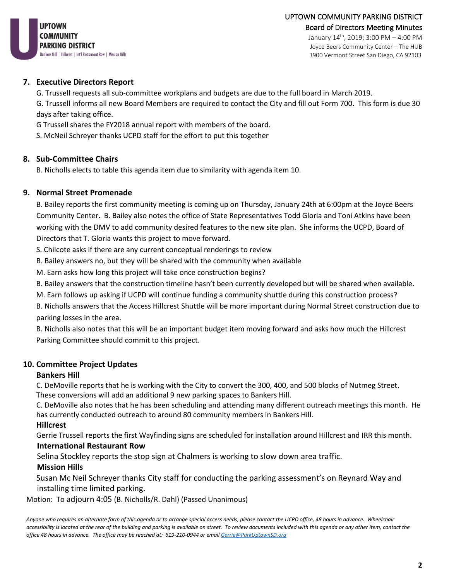

#### **7. Executive Directors Report**

G. Trussell requests all sub-committee workplans and budgets are due to the full board in March 2019. G. Trussell informs all new Board Members are required to contact the City and fill out Form 700. This form is due 30

days after taking office.

G Trussell shares the FY2018 annual report with members of the board.

S. McNeil Schreyer thanks UCPD staff for the effort to put this together

### **8. Sub-Committee Chairs**

B. Nicholls elects to table this agenda item due to similarity with agenda item 10.

### **9. Normal Street Promenade**

B. Bailey reports the first community meeting is coming up on Thursday, January 24th at 6:00pm at the Joyce Beers Community Center. B. Bailey also notes the office of State Representatives Todd Gloria and Toni Atkins have been working with the DMV to add community desired features to the new site plan. She informs the UCPD, Board of Directors that T. Gloria wants this project to move forward.

S. Chilcote asks if there are any current conceptual renderings to review

B. Bailey answers no, but they will be shared with the community when available

M. Earn asks how long this project will take once construction begins?

B. Bailey answers that the construction timeline hasn't been currently developed but will be shared when available.

M. Earn follows up asking if UCPD will continue funding a community shuttle during this construction process?

B. Nicholls answers that the Access Hillcrest Shuttle will be more important during Normal Street construction due to parking losses in the area.

B. Nicholls also notes that this will be an important budget item moving forward and asks how much the Hillcrest Parking Committee should commit to this project.

#### **10. Committee Project Updates**

#### **Bankers Hill**

C. DeMoville reports that he is working with the City to convert the 300, 400, and 500 blocks of Nutmeg Street. These conversions will add an additional 9 new parking spaces to Bankers Hill.

C. DeMoville also notes that he has been scheduling and attending many different outreach meetings this month. He has currently conducted outreach to around 80 community members in Bankers Hill.

#### **Hillcrest**

Gerrie Trussell reports the first Wayfinding signs are scheduled for installation around Hillcrest and IRR this month.

#### **International Restaurant Row**

Selina Stockley reports the stop sign at Chalmers is working to slow down area traffic.

#### **Mission Hills**

Susan Mc Neil Schreyer thanks City staff for conducting the parking assessment's on Reynard Way and installing time limited parking.

Motion: To adjourn 4:05 (B. Nicholls/R. Dahl) (Passed Unanimous)

*Anyone who requires an alternate form of this agenda or to arrange special access needs, please contact the UCPD office, 48 hours in advance. Wheelchair accessibility is located at the rear of the building and parking is available on street. To review documents included with this agenda or any other item, contact the office 48 hours in advance. The office may be reached at: 619-210-0944 or emai[l Gerrie@ParkUptownSD.org](mailto:Gerrie@ParkUptownSD.org)*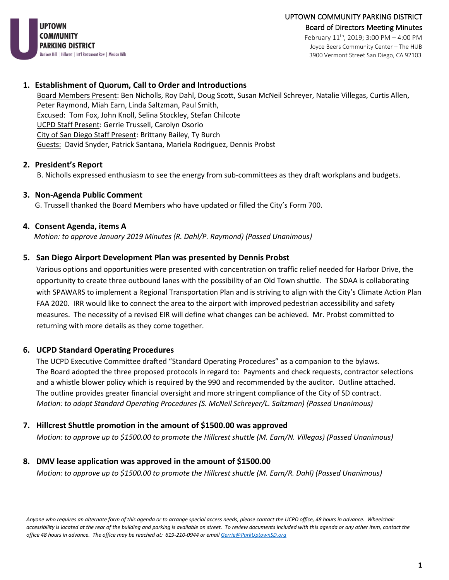

Joyce Beers Community Center – The HUB 3900 Vermont Street San Diego, CA 92103

#### **1. Establishment of Quorum, Call to Order and Introductions**

Board Members Present: Ben Nicholls, Roy Dahl, Doug Scott, Susan McNeil Schreyer, Natalie Villegas, Curtis Allen, Peter Raymond, Miah Earn, Linda Saltzman, Paul Smith, Excused: Tom Fox, John Knoll, Selina Stockley, Stefan Chilcote UCPD Staff Present: Gerrie Trussell, Carolyn Osorio City of San Diego Staff Present: Brittany Bailey, Ty Burch Guests: David Snyder, Patrick Santana, Mariela Rodriguez, Dennis Probst

#### **2. President's Report**

B. Nicholls expressed enthusiasm to see the energy from sub-committees as they draft workplans and budgets.

#### **3. Non-Agenda Public Comment**

G. Trussell thanked the Board Members who have updated or filled the City's Form 700.

#### **4. Consent Agenda, items A**

*Motion: to approve January 2019 Minutes (R. Dahl/P. Raymond) (Passed Unanimous)*

#### **5. San Diego Airport Development Plan was presented by Dennis Probst**

Various options and opportunities were presented with concentration on traffic relief needed for Harbor Drive, the opportunity to create three outbound lanes with the possibility of an Old Town shuttle. The SDAA is collaborating with SPAWARS to implement a Regional Transportation Plan and is striving to align with the City's Climate Action Plan FAA 2020. IRR would like to connect the area to the airport with improved pedestrian accessibility and safety measures. The necessity of a revised EIR will define what changes can be achieved. Mr. Probst committed to returning with more details as they come together.

#### **6. UCPD Standard Operating Procedures**

The UCPD Executive Committee drafted "Standard Operating Procedures" as a companion to the bylaws. The Board adopted the three proposed protocols in regard to: Payments and check requests, contractor selections and a whistle blower policy which is required by the 990 and recommended by the auditor. Outline attached. The outline provides greater financial oversight and more stringent compliance of the City of SD contract. *Motion: to adopt Standard Operating Procedures (S. McNeil Schreyer/L. Saltzman) (Passed Unanimous)*

#### **7. Hillcrest Shuttle promotion in the amount of \$1500.00 was approved**

 *Motion: to approve up to \$1500.00 to promote the Hillcrest shuttle (M. Earn/N. Villegas) (Passed Unanimous)*

#### **8. DMV lease application was approved in the amount of \$1500.00**

*Motion: to approve up to \$1500.00 to promote the Hillcrest shuttle (M. Earn/R. Dahl) (Passed Unanimous)*

*Anyone who requires an alternate form of this agenda or to arrange special access needs, please contact the UCPD office, 48 hours in advance. Wheelchair accessibility is located at the rear of the building and parking is available on street. To review documents included with this agenda or any other item, contact the office 48 hours in advance. The office may be reached at: 619-210-0944 or emai[l Gerrie@ParkUptownSD.org](mailto:Gerrie@ParkUptownSD.org)*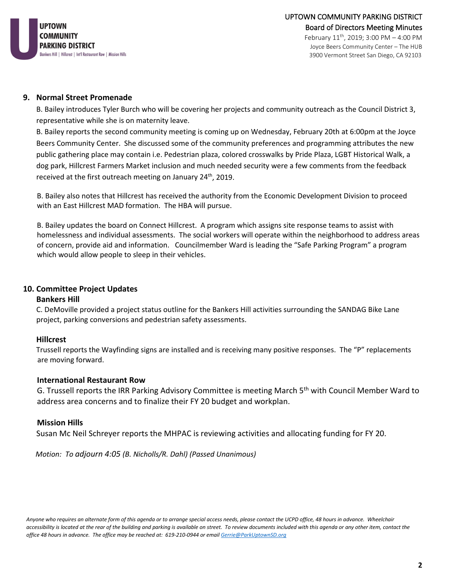

#### **9. Normal Street Promenade**

B. Bailey introduces Tyler Burch who will be covering her projects and community outreach as the Council District 3, representative while she is on maternity leave.

B. Bailey reports the second community meeting is coming up on Wednesday, February 20th at 6:00pm at the Joyce Beers Community Center. She discussed some of the community preferences and programming attributes the new public gathering place may contain i.e. Pedestrian plaza, colored crosswalks by Pride Plaza, LGBT Historical Walk, a dog park, Hillcrest Farmers Market inclusion and much needed security were a few comments from the feedback received at the first outreach meeting on January 24<sup>th</sup>, 2019.

B. Bailey also notes that Hillcrest has received the authority from the Economic Development Division to proceed with an East Hillcrest MAD formation. The HBA will pursue.

B. Bailey updates the board on Connect Hillcrest. A program which assigns site response teams to assist with homelessness and individual assessments. The social workers will operate within the neighborhood to address areas of concern, provide aid and information. Councilmember Ward is leading the "Safe Parking Program" a program which would allow people to sleep in their vehicles.

#### **10. Committee Project Updates**

#### **Bankers Hill**

C. DeMoville provided a project status outline for the Bankers Hill activities surrounding the SANDAG Bike Lane project, parking conversions and pedestrian safety assessments.

#### **Hillcrest**

Trussell reports the Wayfinding signs are installed and is receiving many positive responses. The "P" replacements are moving forward.

#### **International Restaurant Row**

G. Trussell reports the IRR Parking Advisory Committee is meeting March 5<sup>th</sup> with Council Member Ward to address area concerns and to finalize their FY 20 budget and workplan.

#### **Mission Hills**

Susan Mc Neil Schreyer reports the MHPAC is reviewing activities and allocating funding for FY 20.

*Motion: To adjourn 4:05 (B. Nicholls/R. Dahl) (Passed Unanimous)*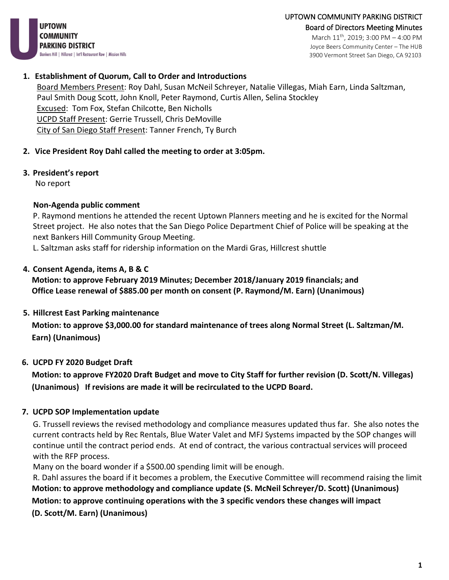UPTOWN COMMUNITY PARKING DISTRICT Board of Directors Meeting Minutes

**UPTOWN** COMMUNITY PARKING DISTRICT Bankers Hill | Hillcrest | Int'l Restaurant Row | Mission Hills

March 11th, 2019; 3:00 PM – 4:00 PM Joyce Beers Community Center – The HUB 3900 Vermont Street San Diego, CA 92103

### **1. Establishment of Quorum, Call to Order and Introductions**

Board Members Present: Roy Dahl, Susan McNeil Schreyer, Natalie Villegas, Miah Earn, Linda Saltzman, Paul Smith Doug Scott, John Knoll, Peter Raymond, Curtis Allen, Selina Stockley Excused: Tom Fox, Stefan Chilcotte, Ben Nicholls UCPD Staff Present: Gerrie Trussell, Chris DeMoville City of San Diego Staff Present: Tanner French, Ty Burch

# **2. Vice President Roy Dahl called the meeting to order at 3:05pm.**

# **3. President's report**

No report

# **Non-Agenda public comment**

P. Raymond mentions he attended the recent Uptown Planners meeting and he is excited for the Normal Street project. He also notes that the San Diego Police Department Chief of Police will be speaking at the next Bankers Hill Community Group Meeting.

L. Saltzman asks staff for ridership information on the Mardi Gras, Hillcrest shuttle

# **4. Consent Agenda, items A, B & C**

# **Motion: to approve February 2019 Minutes; December 2018/January 2019 financials; and Office Lease renewal of \$885.00 per month on consent (P. Raymond/M. Earn) (Unanimous)**

# **5. Hillcrest East Parking maintenance**

 **Motion: to approve \$3,000.00 for standard maintenance of trees along Normal Street (L. Saltzman/M. Earn) (Unanimous)**

# **6. UCPD FY 2020 Budget Draft**

 **Motion: to approve FY2020 Draft Budget and move to City Staff for further revision (D. Scott/N. Villegas) (Unanimous) If revisions are made it will be recirculated to the UCPD Board.**

# **7. UCPD SOP Implementation update**

G. Trussell reviews the revised methodology and compliance measures updated thus far. She also notes the current contracts held by Rec Rentals, Blue Water Valet and MFJ Systems impacted by the SOP changes will continue until the contract period ends. At end of contract, the various contractual services will proceed with the RFP process.

Many on the board wonder if a \$500.00 spending limit will be enough.

R. Dahl assures the board if it becomes a problem, the Executive Committee will recommend raising the limit  **Motion: to approve methodology and compliance update (S. McNeil Schreyer/D. Scott) (Unanimous) Motion: to approve continuing operations with the 3 specific vendors these changes will impact**

 **(D. Scott/M. Earn) (Unanimous)**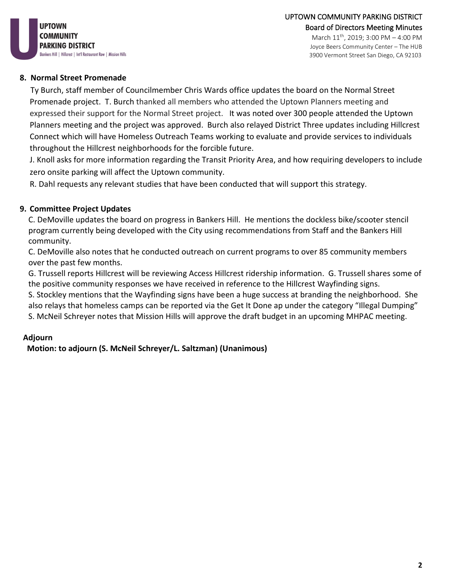Joyce Beers Community Center – The HUB 3900 Vermont Street San Diego, CA 92103

# **8. Normal Street Promenade**

 Ty Burch, staff member of Councilmember Chris Wards office updates the board on the Normal Street Promenade project. T. Burch thanked all members who attended the Uptown Planners meeting and expressed their support for the Normal Street project. It was noted over 300 people attended the Uptown Planners meeting and the project was approved. Burch also relayed District Three updates including Hillcrest Connect which will have Homeless Outreach Teams working to evaluate and provide services to individuals throughout the Hillcrest neighborhoods for the forcible future.

J. Knoll asks for more information regarding the Transit Priority Area, and how requiring developers to include zero onsite parking will affect the Uptown community.

R. Dahl requests any relevant studies that have been conducted that will support this strategy.

# **9. Committee Project Updates**

C. DeMoville updates the board on progress in Bankers Hill. He mentions the dockless bike/scooter stencil program currently being developed with the City using recommendations from Staff and the Bankers Hill community.

C. DeMoville also notes that he conducted outreach on current programs to over 85 community members over the past few months.

G. Trussell reports Hillcrest will be reviewing Access Hillcrest ridership information. G. Trussell shares some of the positive community responses we have received in reference to the Hillcrest Wayfinding signs.

S. Stockley mentions that the Wayfinding signs have been a huge success at branding the neighborhood. She also relays that homeless camps can be reported via the Get It Done ap under the category "Illegal Dumping" S. McNeil Schreyer notes that Mission Hills will approve the draft budget in an upcoming MHPAC meeting.

# **Adjourn**

 **Motion: to adjourn (S. McNeil Schreyer/L. Saltzman) (Unanimous)**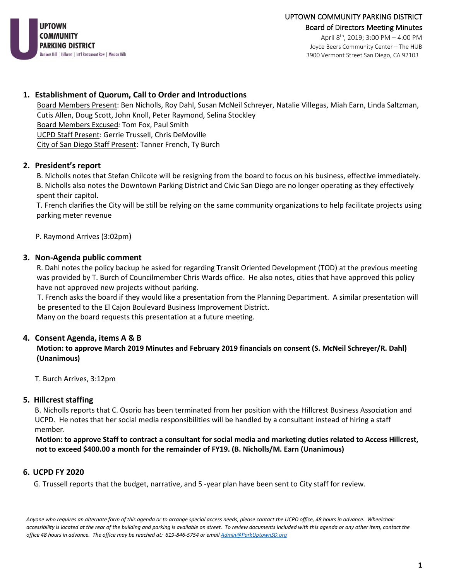

April  $8^{th}$ , 2019; 3:00 PM - 4:00 PM Joyce Beers Community Center – The HUB 3900 Vermont Street San Diego, CA 92103

#### **1. Establishment of Quorum, Call to Order and Introductions**

Board Members Present: Ben Nicholls, Roy Dahl, Susan McNeil Schreyer, Natalie Villegas, Miah Earn, Linda Saltzman, Cutis Allen, Doug Scott, John Knoll, Peter Raymond, Selina Stockley Board Members Excused*:* Tom Fox, Paul Smith UCPD Staff Present: Gerrie Trussell, Chris DeMoville City of San Diego Staff Present: Tanner French, Ty Burch

#### **2. President's report**

 B. Nicholls notes that Stefan Chilcote will be resigning from the board to focus on his business, effective immediately. B. Nicholls also notes the Downtown Parking District and Civic San Diego are no longer operating as they effectively spent their capitol.

 T. French clarifies the City will be still be relying on the same community organizations to help facilitate projects using parking meter revenue

P. Raymond Arrives (3:02pm)

#### **3. Non-Agenda public comment**

 R. Dahl notes the policy backup he asked for regarding Transit Oriented Development (TOD) at the previous meeting was provided by T. Burch of Councilmember Chris Wards office. He also notes, cities that have approved this policy have not approved new projects without parking.

 T. French asks the board if they would like a presentation from the Planning Department. A similar presentation will be presented to the El Cajon Boulevard Business Improvement District.

Many on the board requests this presentation at a future meeting.

#### **4. Consent Agenda, items A & B**

 **Motion: to approve March 2019 Minutes and February 2019 financials on consent (S. McNeil Schreyer/R. Dahl) (Unanimous)** 

T. Burch Arrives, 3:12pm

#### **5. Hillcrest staffing**

B. Nicholls reports that C. Osorio has been terminated from her position with the Hillcrest Business Association and UCPD. He notes that her social media responsibilities will be handled by a consultant instead of hiring a staff member.

 **Motion: to approve Staff to contract a consultant for social media and marketing duties related to Access Hillcrest, not to exceed \$400.00 a month for the remainder of FY19. (B. Nicholls/M. Earn (Unanimous)**

#### **6. UCPD FY 2020**

G. Trussell reports that the budget, narrative, and 5 -year plan have been sent to City staff for review.

*Anyone who requires an alternate form of this agenda or to arrange special access needs, please contact the UCPD office, 48 hours in advance. Wheelchair accessibility is located at the rear of the building and parking is available on street. To review documents included with this agenda or any other item, contact the office 48 hours in advance. The office may be reached at: 619-846-5754 or emai[l Admin@ParkUptownSD.org](mailto:Admin@ParkUptownSD.org)*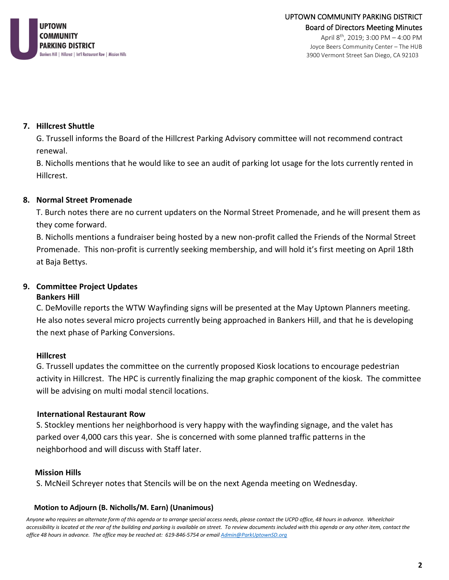

April 8th, 2019; 3:00 PM – 4:00 PM Joyce Beers Community Center – The HUB 3900 Vermont Street San Diego, CA 92103

### **7. Hillcrest Shuttle**

G. Trussell informs the Board of the Hillcrest Parking Advisory committee will not recommend contract renewal.

B. Nicholls mentions that he would like to see an audit of parking lot usage for the lots currently rented in Hillcrest.

### **8. Normal Street Promenade**

T. Burch notes there are no current updaters on the Normal Street Promenade, and he will present them as they come forward.

B. Nicholls mentions a fundraiser being hosted by a new non-profit called the Friends of the Normal Street Promenade. This non-profit is currently seeking membership, and will hold it's first meeting on April 18th at Baja Bettys.

# **9. Committee Project Updates**

#### **Bankers Hill**

C. DeMoville reports the WTW Wayfinding signs will be presented at the May Uptown Planners meeting. He also notes several micro projects currently being approached in Bankers Hill, and that he is developing the next phase of Parking Conversions.

#### **Hillcrest**

G. Trussell updates the committee on the currently proposed Kiosk locations to encourage pedestrian activity in Hillcrest. The HPC is currently finalizing the map graphic component of the kiosk. The committee will be advising on multi modal stencil locations.

#### **International Restaurant Row**

S. Stockley mentions her neighborhood is very happy with the wayfinding signage, and the valet has parked over 4,000 cars this year. She is concerned with some planned traffic patterns in the neighborhood and will discuss with Staff later.

#### **Mission Hills**

S. McNeil Schreyer notes that Stencils will be on the next Agenda meeting on Wednesday.

#### **Motion to Adjourn (B. Nicholls/M. Earn) (Unanimous)**

*Anyone who requires an alternate form of this agenda or to arrange special access needs, please contact the UCPD office, 48 hours in advance. Wheelchair*  accessibility is located at the rear of the building and parking is available on street. To review documents included with this agenda or any other item, contact the *office 48 hours in advance. The office may be reached at: 619-846-5754 or emai[l Admin@ParkUptownSD.org](mailto:Admin@ParkUptownSD.org)*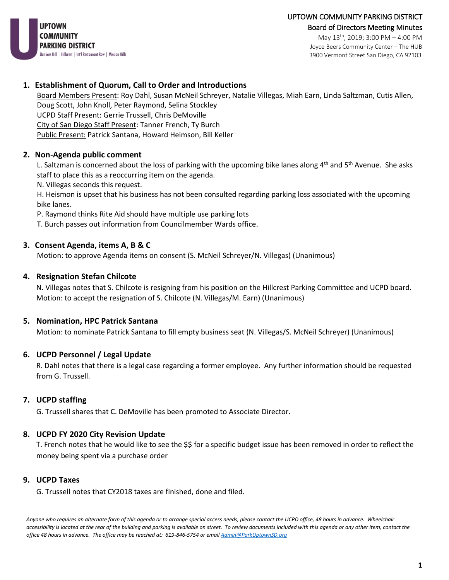

May 13th, 2019; 3:00 PM – 4:00 PM Joyce Beers Community Center – The HUB 3900 Vermont Street San Diego, CA 92103

#### **1. Establishment of Quorum, Call to Order and Introductions**

Board Members Present: Roy Dahl, Susan McNeil Schreyer, Natalie Villegas, Miah Earn, Linda Saltzman, Cutis Allen, Doug Scott, John Knoll, Peter Raymond, Selina Stockley UCPD Staff Present: Gerrie Trussell, Chris DeMoville City of San Diego Staff Present: Tanner French, Ty Burch Public Present: Patrick Santana, Howard Heimson, Bill Keller

### **2. Non-Agenda public comment**

L. Saltzman is concerned about the loss of parking with the upcoming bike lanes along  $4<sup>th</sup>$  and  $5<sup>th</sup>$  Avenue. She asks staff to place this as a reoccurring item on the agenda.

N. Villegas seconds this request.

H. Heismon is upset that his business has not been consulted regarding parking loss associated with the upcoming bike lanes.

P. Raymond thinks Rite Aid should have multiple use parking lots

T. Burch passes out information from Councilmember Wards office.

### **3. Consent Agenda, items A, B & C**

Motion: to approve Agenda items on consent (S. McNeil Schreyer/N. Villegas) (Unanimous)

#### **4. Resignation Stefan Chilcote**

N. Villegas notes that S. Chilcote is resigning from his position on the Hillcrest Parking Committee and UCPD board. Motion: to accept the resignation of S. Chilcote (N. Villegas/M. Earn) (Unanimous)

#### **5. Nomination, HPC Patrick Santana**

Motion: to nominate Patrick Santana to fill empty business seat (N. Villegas/S. McNeil Schreyer) (Unanimous)

# **6. UCPD Personnel / Legal Update**

R. Dahl notes that there is a legal case regarding a former employee. Any further information should be requested from G. Trussell.

#### **7. UCPD staffing**

G. Trussell shares that C. DeMoville has been promoted to Associate Director.

#### **8. UCPD FY 2020 City Revision Update**

T. French notes that he would like to see the \$\$ for a specific budget issue has been removed in order to reflect the money being spent via a purchase order

#### **9. UCPD Taxes**

G. Trussell notes that CY2018 taxes are finished, done and filed.

*Anyone who requires an alternate form of this agenda or to arrange special access needs, please contact the UCPD office, 48 hours in advance. Wheelchair accessibility is located at the rear of the building and parking is available on street. To review documents included with this agenda or any other item, contact the office 48 hours in advance. The office may be reached at: 619-846-5754 or emai[l Admin@ParkUptownSD.org](mailto:Admin@ParkUptownSD.org)*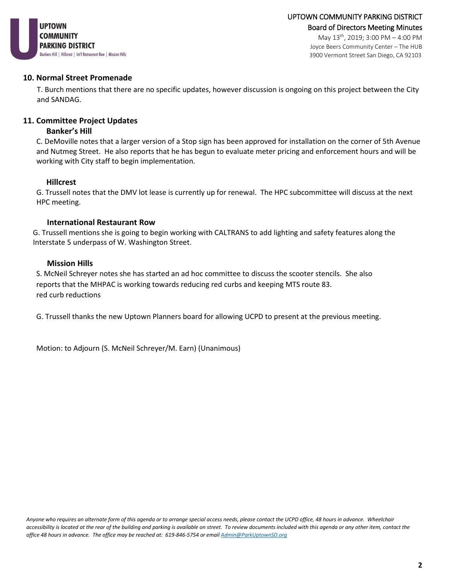

May 13th, 2019; 3:00 PM – 4:00 PM Joyce Beers Community Center – The HUB 3900 Vermont Street San Diego, CA 92103

#### **10. Normal Street Promenade**

T. Burch mentions that there are no specific updates, however discussion is ongoing on this project between the City and SANDAG.

#### **11. Committee Project Updates**

#### **Banker's Hill**

C. DeMoville notes that a larger version of a Stop sign has been approved for installation on the corner of 5th Avenue and Nutmeg Street. He also reports that he has begun to evaluate meter pricing and enforcement hours and will be working with City staff to begin implementation.

#### **Hillcrest**

G. Trussell notes that the DMV lot lease is currently up for renewal. The HPC subcommittee will discuss at the next HPC meeting.

#### **International Restaurant Row**

G. Trussell mentions she is going to begin working with CALTRANS to add lighting and safety features along the Interstate 5 underpass of W. Washington Street.

#### **Mission Hills**

S. McNeil Schreyer notes she has started an ad hoc committee to discuss the scooter stencils. She also reports that the MHPAC is working towards reducing red curbs and keeping MTS route 83. red curb reductions

G. Trussell thanks the new Uptown Planners board for allowing UCPD to present at the previous meeting.

Motion: to Adjourn (S. McNeil Schreyer/M. Earn) (Unanimous)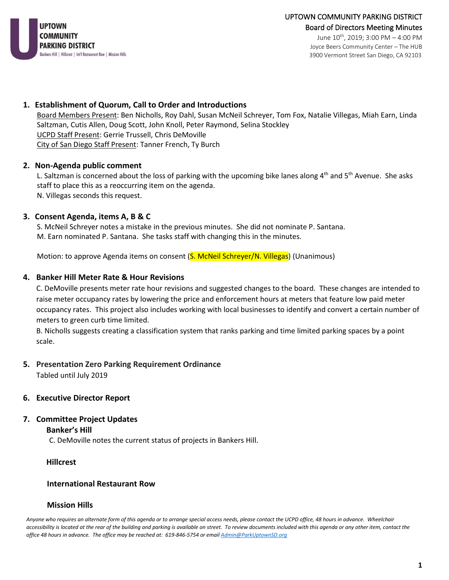

June 10th, 2019; 3:00 PM – 4:00 PM Joyce Beers Community Center – The HUB 3900 Vermont Street San Diego, CA 92103

#### **1. Establishment of Quorum, Call to Order and Introductions**

Board Members Present: Ben Nicholls, Roy Dahl, Susan McNeil Schreyer, Tom Fox, Natalie Villegas, Miah Earn, Linda Saltzman, Cutis Allen, Doug Scott, John Knoll, Peter Raymond, Selina Stockley UCPD Staff Present: Gerrie Trussell, Chris DeMoville City of San Diego Staff Present: Tanner French, Ty Burch

#### **2. Non-Agenda public comment**

L. Saltzman is concerned about the loss of parking with the upcoming bike lanes along  $4<sup>th</sup>$  and  $5<sup>th</sup>$  Avenue. She asks staff to place this as a reoccurring item on the agenda. N. Villegas seconds this request.

#### **3. Consent Agenda, items A, B & C**

S. McNeil Schreyer notes a mistake in the previous minutes. She did not nominate P. Santana. M. Earn nominated P. Santana. She tasks staff with changing this in the minutes.

Motion: to approve Agenda items on consent (S. McNeil Schreyer/N. Villegas) (Unanimous)

#### **4. Banker Hill Meter Rate & Hour Revisions**

C. DeMoville presents meter rate hour revisions and suggested changes to the board. These changes are intended to raise meter occupancy rates by lowering the price and enforcement hours at meters that feature low paid meter occupancy rates. This project also includes working with local businesses to identify and convert a certain number of meters to green curb time limited.

B. Nicholls suggests creating a classification system that ranks parking and time limited parking spaces by a point scale.

# **5. Presentation Zero Parking Requirement Ordinance**

Tabled until July 2019

#### **6. Executive Director Report**

# **7. Committee Project Updates**

#### **Banker's Hill**

C. DeMoville notes the current status of projects in Bankers Hill.

#### **Hillcrest**

#### **International Restaurant Row**

#### **Mission Hills**

*Anyone who requires an alternate form of this agenda or to arrange special access needs, please contact the UCPD office, 48 hours in advance. Wheelchair accessibility is located at the rear of the building and parking is available on street. To review documents included with this agenda or any other item, contact the office 48 hours in advance. The office may be reached at: 619-846-5754 or emai[l Admin@ParkUptownSD.org](mailto:Admin@ParkUptownSD.org)*